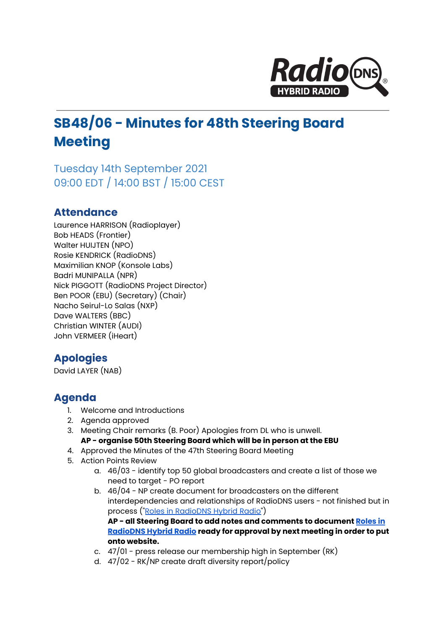

# **SB48/06 - Minutes for 48th Steering Board Meeting**

Tuesday 14th September 2021 09:00 EDT / 14:00 BST / 15:00 CEST

### **Attendance**

Laurence HARRISON (Radioplayer) Bob HEADS (Frontier) Walter HUIJTEN (NPO) Rosie KENDRICK (RadioDNS) Maximilian KNOP (Konsole Labs) Badri MUNIPALLA (NPR) Nick PIGGOTT (RadioDNS Project Director) Ben POOR (EBU) (Secretary) (Chair) Nacho Seirul-Lo Salas (NXP) Dave WALTERS (BBC) Christian WINTER (AUDI) John VERMEER (iHeart)

## **Apologies**

David LAYER (NAB)

## **Agenda**

- 1. Welcome and Introductions
- 2. Agenda approved
- 3. Meeting Chair remarks (B. Poor) Apologies from DL who is unwell. **AP - organise 50th Steering Board which will be in person at the EBU**
- 4. Approved the Minutes of the 47th Steering Board Meeting
- 5. Action Points Review
	- a. 46/03 identify top 50 global broadcasters and create a list of those we need to target - PO report
	- b. 46/04 NP create document for broadcasters on the different interdependencies and relationships of RadioDNS users - not finished but in process ("Roles in [RadioDNS](https://docs.google.com/document/d/1s8moGZyq_RQeddUN2Qpapke-VA6MZ3KLuuhI6ggvib8/edit#heading=h.qm8gzbyxgu59) Hybrid Radio") **AP - all Steering Board to add notes and comments to document [Roles](https://docs.google.com/document/d/1s8moGZyq_RQeddUN2Qpapke-VA6MZ3KLuuhI6ggvib8/edit#heading=h.qm8gzbyxgu59) in [RadioDNS](https://docs.google.com/document/d/1s8moGZyq_RQeddUN2Qpapke-VA6MZ3KLuuhI6ggvib8/edit#heading=h.qm8gzbyxgu59) Hybrid Radio ready for approval by next meeting in order to put**
	- **onto website.**
	- c. 47/01 press release our membership high in September (RK)
	- d. 47/02 RK/NP create draft diversity report/policy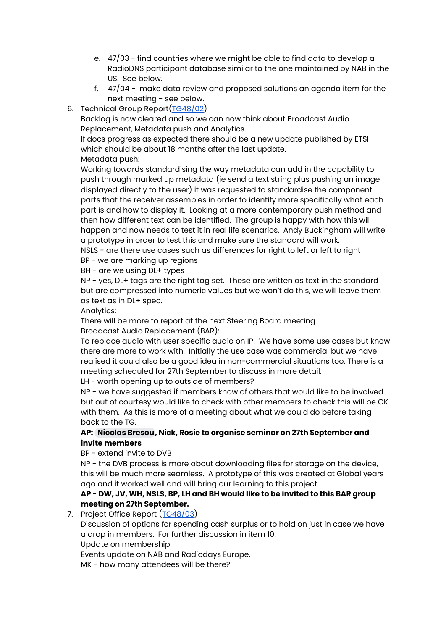- e. 47/03 find countries where we might be able to find data to develop a RadioDNS participant database similar to the one maintained by NAB in the US. See below.
- f. 47/04 make data review and proposed solutions an agenda item for the next meeting - see below.
- 6. Technical Group Report([TG48/02\)](https://docs.google.com/document/d/1_D1FOuTRfxEs6oPbsMrXtswqRd5tXFwKESxjR3LtSrc/edit#)

Backlog is now cleared and so we can now think about Broadcast Audio Replacement, Metadata push and Analytics.

If docs progress as expected there should be a new update published by ETSI which should be about 18 months after the last update.

Metadata push:

Working towards standardising the way metadata can add in the capability to push through marked up metadata (ie send a text string plus pushing an image displayed directly to the user) it was requested to standardise the component parts that the receiver assembles in order to identify more specifically what each part is and how to display it. Looking at a more contemporary push method and then how different text can be identified. The group is happy with how this will happen and now needs to test it in real life scenarios. Andy Buckingham will write a prototype in order to test this and make sure the standard will work.

NSLS - are there use cases such as differences for right to left or left to right BP - we are marking up regions

BH - are we using DL+ types

NP - yes, DL+ tags are the right tag set. These are written as text in the standard but are compressed into numeric values but we won't do this, we will leave them as text as in DL+ spec.

Analytics:

There will be more to report at the next Steering Board meeting.

Broadcast Audio Replacement (BAR):

To replace audio with user specific audio on IP. We have some use cases but know there are more to work with. Initially the use case was commercial but we have realised it could also be a good idea in non-commercial situations too. There is a meeting scheduled for 27th September to discuss in more detail.

LH - worth opening up to outside of members?

NP - we have suggested if members know of others that would like to be involved but out of courtesy would like to check with other members to check this will be OK with them. As this is more of a meeting about what we could do before taking back to the TG.

#### **AP: [Nicolas](mailto:ncbr@maradio.be) Bresou, Nick, Rosie to organise seminar on 27th September and invite members**

BP - extend invite to DVB

NP - the DVB process is more about downloading files for storage on the device, this will be much more seamless. A prototype of this was created at Global years ago and it worked well and will bring our learning to this project.

#### **AP - DW, JV, WH, NSLS, BP, LH and BH would like to be invited to this BAR group meeting on 27th September.**

7. Project Office Report ([TG48/03\)](https://docs.google.com/document/d/1oWci8PJ4qnx57MkzRhhjWeNBstUdoXAtSYEWX4n1j_Q/edit)

Discussion of options for spending cash surplus or to hold on just in case we have a drop in members. For further discussion in item 10.

Update on membership

Events update on NAB and Radiodays Europe.

MK - how many attendees will be there?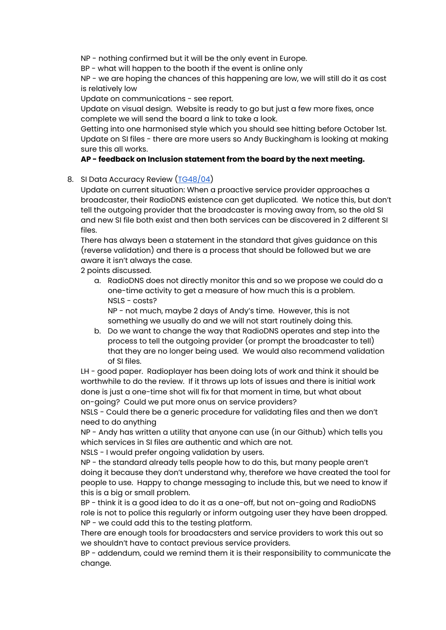NP - nothing confirmed but it will be the only event in Europe.

BP - what will happen to the booth if the event is online only

NP - we are hoping the chances of this happening are low, we will still do it as cost is relatively low

Update on communications - see report.

Update on visual design. Website is ready to go but just a few more fixes, once complete we will send the board a link to take a look.

Getting into one harmonised style which you should see hitting before October 1st. Update on SI files - there are more users so Andy Buckingham is looking at making sure this all works.

#### **AP - feedback on Inclusion statement from the board by the next meeting.**

8. SI Data Accuracy Review ([TG48/04](https://docs.google.com/document/d/1-db5mlLTspDVbVCFnZzhpUSHlmtYPlEjUgZd7-Rs6Uo/edit#heading=h.32j3v6spdwmy))

Update on current situation: When a proactive service provider approaches a broadcaster, their RadioDNS existence can get duplicated. We notice this, but don't tell the outgoing provider that the broadcaster is moving away from, so the old SI and new SI file both exist and then both services can be discovered in 2 different SI files.

There has always been a statement in the standard that gives guidance on this (reverse validation) and there is a process that should be followed but we are aware it isn't always the case.

2 points discussed.

a. RadioDNS does not directly monitor this and so we propose we could do a one-time activity to get a measure of how much this is a problem. NSLS - costs?

NP - not much, maybe 2 days of Andy's time. However, this is not something we usually do and we will not start routinely doing this.

b. Do we want to change the way that RadioDNS operates and step into the process to tell the outgoing provider (or prompt the broadcaster to tell) that they are no longer being used. We would also recommend validation of SI files.

LH - good paper. Radioplayer has been doing lots of work and think it should be worthwhile to do the review. If it throws up lots of issues and there is initial work done is just a one-time shot will fix for that moment in time, but what about on-going? Could we put more onus on service providers?

NSLS - Could there be a generic procedure for validating files and then we don't need to do anything

NP - Andy has written a utility that anyone can use (in our Github) which tells you which services in SI files are authentic and which are not.

NSLS - I would prefer ongoing validation by users.

NP - the standard already tells people how to do this, but many people aren't doing it because they don't understand why, therefore we have created the tool for people to use. Happy to change messaging to include this, but we need to know if this is a big or small problem.

BP - think it is a good idea to do it as a one-off, but not on-going and RadioDNS role is not to police this regularly or inform outgoing user they have been dropped. NP - we could add this to the testing platform.

There are enough tools for broadacsters and service providers to work this out so we shouldn't have to contact previous service providers.

BP - addendum, could we remind them it is their responsibility to communicate the change.